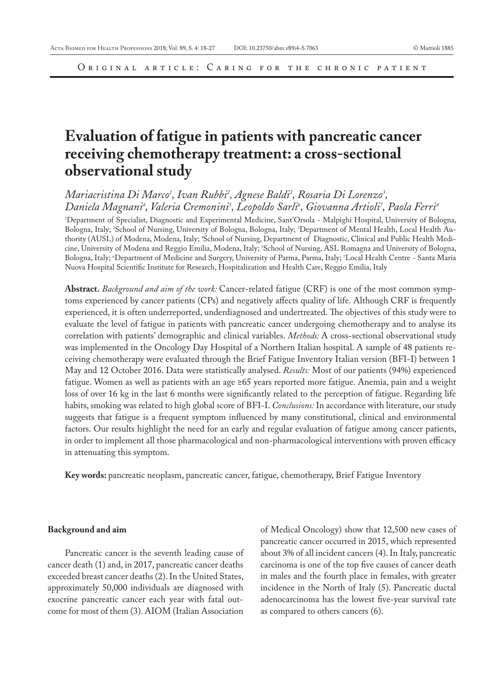# **Evaluation of fatigue in patients with pancreatic cancer receiving chemotherapy treatment: a cross-sectional observational study**

Mariacristina Di Marco<sup>1</sup>, Ivan Rubbi<sup>2</sup>, Agnese Baldi<sup>2</sup>, Rosaria Di Lorenzo<sup>3</sup>, Daniela Magnani<sup>4</sup>, Valeria Cremonini<sup>5</sup>, Leopoldo Sarli<sup>6</sup>, Giovanna Artioli<sup>7</sup>, Paola Ferri<sup>4</sup>

1 Department of Specialist, Diagnostic and Experimental Medicine, Sant'Orsola - Malpighi Hospital, University of Bologna, Bologna, Italy; <sup>2</sup>School of Nursing, University of Bologna, Bologna, Italy; <sup>3</sup>Department of Mental Health, Local Health Authority (AUSL) of Modena, Modena, Italy; 'School of Nursing, Department of Diagnostic, Clinical and Public Health Medicine, University of Modena and Reggio Emilia, Modena, Italy; 5 School of Nursing, ASL Romagna and University of Bologna, Bologna, Italy; 'Department of Medicine and Surgery, University of Parma, Parma, Italy; 'Local Health Centre - Santa Maria Nuova Hospital Scientific Institute for Research, Hospitalization and Health Care, Reggio Emilia, Italy

**Abstract.** *Background and aim of the work:* Cancer-related fatigue (CRF) is one of the most common symptoms experienced by cancer patients (CPs) and negatively affects quality of life. Although CRF is frequently experienced, it is often underreported, underdiagnosed and undertreated. The objectives of this study were to evaluate the level of fatigue in patients with pancreatic cancer undergoing chemotherapy and to analyse its correlation with patients' demographic and clinical variables. *Methods:* A cross-sectional observational study was implemented in the Oncology Day Hospital of a Northern Italian hospital. A sample of 48 patients receiving chemotherapy were evaluated through the Brief Fatigue Inventory Italian version (BFI-I) between 1 May and 12 October 2016. Data were statistically analysed. *Results:* Most of our patients (94%) experienced fatigue. Women as well as patients with an age ≥65 years reported more fatigue. Anemia, pain and a weight loss of over 16 kg in the last 6 months were significantly related to the perception of fatigue. Regarding life habits, smoking was related to high global score of BFI-I. *Conclusions:* In accordance with literature, our study suggests that fatigue is a frequent symptom influenced by many constitutional, clinical and environmental factors. Our results highlight the need for an early and regular evaluation of fatigue among cancer patients, in order to implement all those pharmacological and non-pharmacological interventions with proven efficacy in attenuating this symptom.

**Key words:** pancreatic neoplasm, pancreatic cancer, fatigue, chemotherapy, Brief Fatigue Inventory

#### **Background and aim**

Pancreatic cancer is the seventh leading cause of cancer death (1) and, in 2017, pancreatic cancer deaths exceeded breast cancer deaths (2). In the United States, approximately 50,000 individuals are diagnosed with exocrine pancreatic cancer each year with fatal outcome for most of them (3). AIOM (Italian Association

of Medical Oncology) show that 12,500 new cases of pancreatic cancer occurred in 2015, which represented about 3% of all incident cancers (4). In Italy, pancreatic carcinoma is one of the top five causes of cancer death in males and the fourth place in females, with greater incidence in the North of Italy (5). Pancreatic ductal adenocarcinoma has the lowest five-year survival rate as compared to others cancers (6).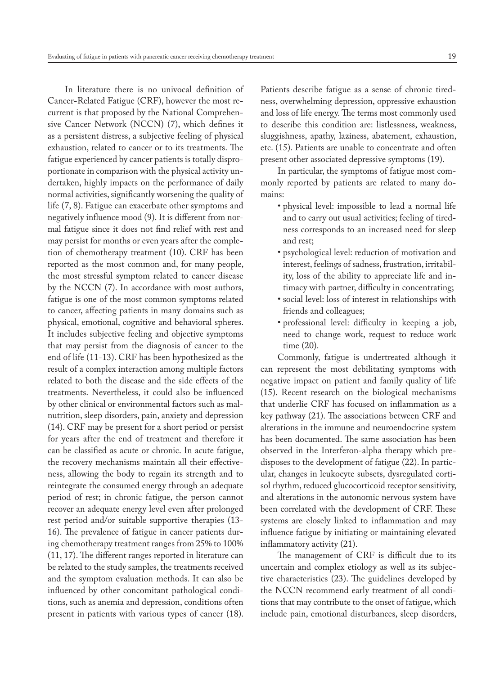In literature there is no univocal definition of Cancer-Related Fatigue (CRF), however the most recurrent is that proposed by the National Comprehensive Cancer Network (NCCN) (7), which defines it as a persistent distress, a subjective feeling of physical exhaustion, related to cancer or to its treatments. The fatigue experienced by cancer patients is totally disproportionate in comparison with the physical activity undertaken, highly impacts on the performance of daily normal activities, significantly worsening the quality of life (7, 8). Fatigue can exacerbate other symptoms and negatively influence mood (9). It is different from normal fatigue since it does not find relief with rest and may persist for months or even years after the completion of chemotherapy treatment (10). CRF has been reported as the most common and, for many people, the most stressful symptom related to cancer disease by the NCCN (7). In accordance with most authors, fatigue is one of the most common symptoms related to cancer, affecting patients in many domains such as physical, emotional, cognitive and behavioral spheres. It includes subjective feeling and objective symptoms that may persist from the diagnosis of cancer to the end of life (11-13). CRF has been hypothesized as the result of a complex interaction among multiple factors related to both the disease and the side effects of the treatments. Nevertheless, it could also be influenced by other clinical or environmental factors such as malnutrition, sleep disorders, pain, anxiety and depression (14). CRF may be present for a short period or persist for years after the end of treatment and therefore it can be classified as acute or chronic. In acute fatigue, the recovery mechanisms maintain all their effectiveness, allowing the body to regain its strength and to reintegrate the consumed energy through an adequate period of rest; in chronic fatigue, the person cannot recover an adequate energy level even after prolonged rest period and/or suitable supportive therapies (13- 16). The prevalence of fatigue in cancer patients during chemotherapy treatment ranges from 25% to 100% (11, 17). The different ranges reported in literature can be related to the study samples, the treatments received and the symptom evaluation methods. It can also be influenced by other concomitant pathological conditions, such as anemia and depression, conditions often present in patients with various types of cancer (18).

Patients describe fatigue as a sense of chronic tiredness, overwhelming depression, oppressive exhaustion and loss of life energy. The terms most commonly used to describe this condition are: listlessness, weakness, sluggishness, apathy, laziness, abatement, exhaustion, etc. (15). Patients are unable to concentrate and often present other associated depressive symptoms (19).

In particular, the symptoms of fatigue most commonly reported by patients are related to many domains:

- physical level: impossible to lead a normal life and to carry out usual activities; feeling of tiredness corresponds to an increased need for sleep and rest;
- psychological level: reduction of motivation and interest, feelings of sadness, frustration, irritability, loss of the ability to appreciate life and intimacy with partner, difficulty in concentrating;
- social level: loss of interest in relationships with friends and colleagues;
- professional level: difficulty in keeping a job, need to change work, request to reduce work time (20).

Commonly, fatigue is undertreated although it can represent the most debilitating symptoms with negative impact on patient and family quality of life (15). Recent research on the biological mechanisms that underlie CRF has focused on inflammation as a key pathway (21). The associations between CRF and alterations in the immune and neuroendocrine system has been documented. The same association has been observed in the Interferon-alpha therapy which predisposes to the development of fatigue (22). In particular, changes in leukocyte subsets, dysregulated cortisol rhythm, reduced glucocorticoid receptor sensitivity, and alterations in the autonomic nervous system have been correlated with the development of CRF. These systems are closely linked to inflammation and may influence fatigue by initiating or maintaining elevated inflammatory activity (21).

The management of CRF is difficult due to its uncertain and complex etiology as well as its subjective characteristics (23). The guidelines developed by the NCCN recommend early treatment of all conditions that may contribute to the onset of fatigue, which include pain, emotional disturbances, sleep disorders,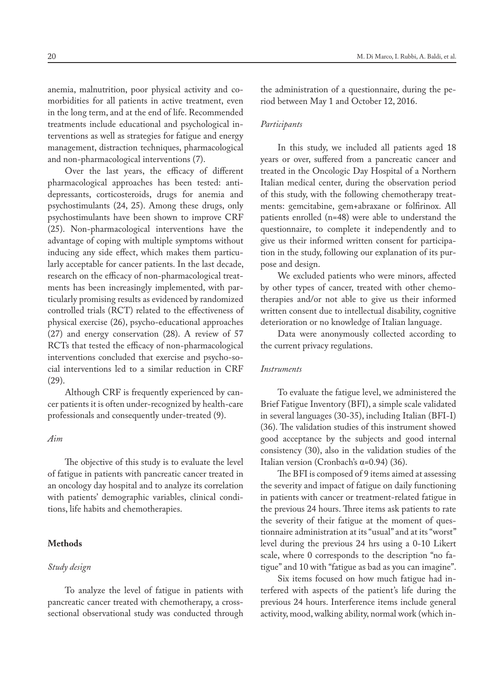anemia, malnutrition, poor physical activity and comorbidities for all patients in active treatment, even in the long term, and at the end of life. Recommended treatments include educational and psychological interventions as well as strategies for fatigue and energy management, distraction techniques, pharmacological and non-pharmacological interventions (7).

Over the last years, the efficacy of different pharmacological approaches has been tested: antidepressants, corticosteroids, drugs for anemia and psychostimulants (24, 25). Among these drugs, only psychostimulants have been shown to improve CRF (25). Non-pharmacological interventions have the advantage of coping with multiple symptoms without inducing any side effect, which makes them particularly acceptable for cancer patients. In the last decade, research on the efficacy of non-pharmacological treatments has been increasingly implemented, with particularly promising results as evidenced by randomized controlled trials (RCT) related to the effectiveness of physical exercise (26), psycho-educational approaches (27) and energy conservation (28). A review of 57 RCTs that tested the efficacy of non-pharmacological interventions concluded that exercise and psycho-social interventions led to a similar reduction in CRF (29).

Although CRF is frequently experienced by cancer patients it is often under-recognized by health-care professionals and consequently under-treated (9).

# *Aim*

The objective of this study is to evaluate the level of fatigue in patients with pancreatic cancer treated in an oncology day hospital and to analyze its correlation with patients' demographic variables, clinical conditions, life habits and chemotherapies.

# **Methods**

## *Study design*

To analyze the level of fatigue in patients with pancreatic cancer treated with chemotherapy, a crosssectional observational study was conducted through the administration of a questionnaire, during the period between May 1 and October 12, 2016.

#### *Participants*

In this study, we included all patients aged 18 years or over, suffered from a pancreatic cancer and treated in the Oncologic Day Hospital of a Northern Italian medical center, during the observation period of this study, with the following chemotherapy treatments: gemcitabine, gem+abraxane or folfirinox. All patients enrolled (n=48) were able to understand the questionnaire, to complete it independently and to give us their informed written consent for participation in the study, following our explanation of its purpose and design.

We excluded patients who were minors, affected by other types of cancer, treated with other chemotherapies and/or not able to give us their informed written consent due to intellectual disability, cognitive deterioration or no knowledge of Italian language.

Data were anonymously collected according to the current privacy regulations.

## *Instruments*

To evaluate the fatigue level, we administered the Brief Fatigue Inventory (BFI), a simple scale validated in several languages (30-35), including Italian (BFI-I) (36). The validation studies of this instrument showed good acceptance by the subjects and good internal consistency (30), also in the validation studies of the Italian version (Cronbach's α=0.94) (36).

The BFI is composed of 9 items aimed at assessing the severity and impact of fatigue on daily functioning in patients with cancer or treatment-related fatigue in the previous 24 hours. Three items ask patients to rate the severity of their fatigue at the moment of questionnaire administration at its "usual" and at its "worst" level during the previous 24 hrs using a 0-10 Likert scale, where 0 corresponds to the description "no fatigue" and 10 with "fatigue as bad as you can imagine".

Six items focused on how much fatigue had interfered with aspects of the patient's life during the previous 24 hours. Interference items include general activity, mood, walking ability, normal work (which in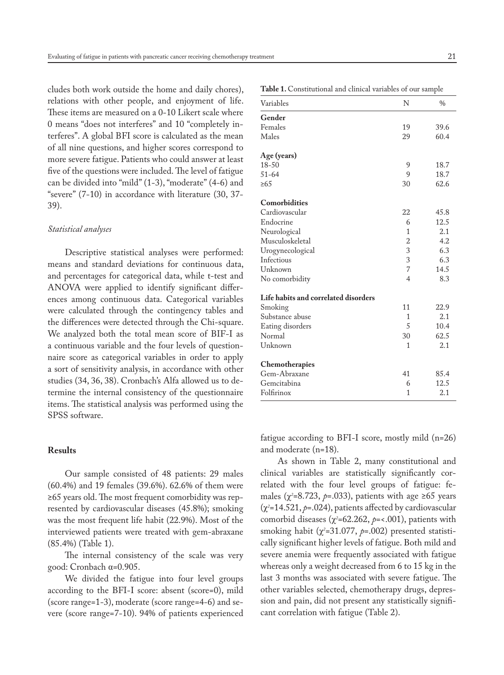cludes both work outside the home and daily chores), relations with other people, and enjoyment of life. These items are measured on a 0-10 Likert scale where 0 means "does not interferes" and 10 "completely interferes". A global BFI score is calculated as the mean of all nine questions, and higher scores correspond to more severe fatigue. Patients who could answer at least five of the questions were included. The level of fatigue can be divided into "mild" (1-3), "moderate" (4-6) and "severe" (7-10) in accordance with literature (30, 37- 39).

#### *Statistical analyses*

Descriptive statistical analyses were performed: means and standard deviations for continuous data, and percentages for categorical data, while t-test and ANOVA were applied to identify significant differences among continuous data. Categorical variables were calculated through the contingency tables and the differences were detected through the Chi-square. We analyzed both the total mean score of BIF-I as a continuous variable and the four levels of questionnaire score as categorical variables in order to apply a sort of sensitivity analysis, in accordance with other studies (34, 36, 38). Cronbach's Alfa allowed us to determine the internal consistency of the questionnaire items. The statistical analysis was performed using the SPSS software.

# **Results**

Our sample consisted of 48 patients: 29 males (60.4%) and 19 females (39.6%). 62.6% of them were ≥65 years old. The most frequent comorbidity was represented by cardiovascular diseases (45.8%); smoking was the most frequent life habit (22.9%). Most of the interviewed patients were treated with gem-abraxane (85.4%) (Table 1).

The internal consistency of the scale was very good: Cronbach α=0.905.

We divided the fatigue into four level groups according to the BFI-I score: absent (score=0), mild (score range=1-3), moderate (score range=4-6) and severe (score range=7-10). 94% of patients experienced

| Table 1. Constitutional and clinical variables of our sample |  |  |  |  |  |
|--------------------------------------------------------------|--|--|--|--|--|
|--------------------------------------------------------------|--|--|--|--|--|

| Variables                            | N              | $\frac{0}{0}$ |
|--------------------------------------|----------------|---------------|
| Gender                               |                |               |
| Females                              | 19             | 39.6          |
| Males                                | 29             | 60.4          |
| Age (years)                          |                |               |
| 18-50                                | 9              | 18.7          |
| $51 - 64$                            | 9              | 18.7          |
| $\geq 65$                            | 30             | 62.6          |
| Comorbidities                        |                |               |
| Cardiovascular                       | 22             | 45.8          |
| Endocrine                            | 6              | 12.5          |
| Neurological                         | $\mathbf{1}$   | 2.1           |
| Musculoskeletal                      | $\overline{c}$ | 4.2           |
| Urogynecological                     | 3              | 6.3           |
| Infectious                           | 3              | 6.3           |
| Unknown                              | $\overline{7}$ | 14.5          |
| No comorbidity                       | $\overline{4}$ | 8.3           |
| Life habits and correlated disorders |                |               |
| Smoking                              | 11             | 22.9          |
| Substance abuse                      | 1              | 2.1           |
| Eating disorders                     | 5              | 10.4          |
| Normal                               | 30             | 62.5          |
| Unknown                              | 1              | 2.1           |
| Chemotherapies                       |                |               |
| Gem-Abraxane                         | 41             | 85.4          |
| Gemcitabina                          | 6              | 12.5          |
| Folfirinox                           | 1              | 2.1           |

fatigue according to BFI-I score, mostly mild (n=26) and moderate (n=18).

As shown in Table 2, many constitutional and clinical variables are statistically significantly correlated with the four level groups of fatigue: females (χ*<sup>2</sup>* =8.723, *p*=.033), patients with age ≥65 years (χ*<sup>2</sup>* =14.521, *p*=.024), patients affected by cardiovascular comorbid diseases (χ*<sup>2</sup>* =62.262, *p*=<.001), patients with smoking habit (χ*<sup>2</sup>* =31.077, *p*=.002) presented statistically significant higher levels of fatigue. Both mild and severe anemia were frequently associated with fatigue whereas only a weight decreased from 6 to 15 kg in the last 3 months was associated with severe fatigue. The other variables selected, chemotherapy drugs, depression and pain, did not present any statistically significant correlation with fatigue (Table 2).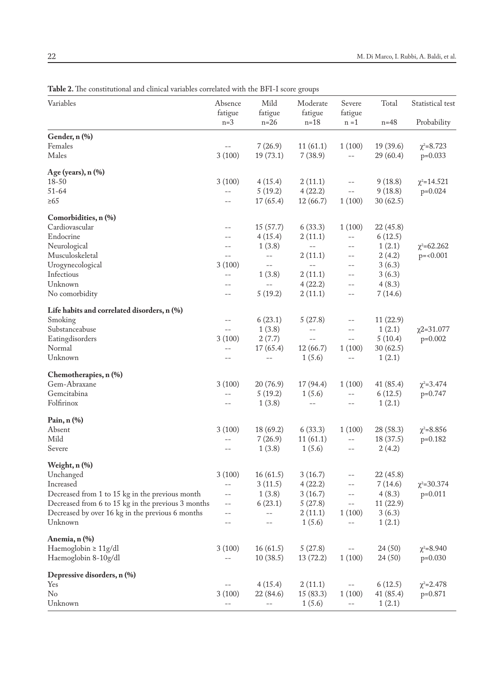| Variables                                          | Absence<br>fatigue | Mild<br>fatigue | Moderate<br>fatigue | Severe<br>fatigue | Total     | Statistical test  |
|----------------------------------------------------|--------------------|-----------------|---------------------|-------------------|-----------|-------------------|
|                                                    | $n=3$              | $n=26$          | $n=18$              | $n = 1$           | $n = 48$  | Probability       |
| Gender, n (%)                                      |                    |                 |                     |                   |           |                   |
| Females                                            |                    | 7(26.9)         | 11(61.1)            | 1(100)            | 19 (39.6) | $\chi^2 = 8.723$  |
| Males                                              | 3(100)             | 19(73.1)        | 7(38.9)             | $-$               | 29(60.4)  | $p=0.033$         |
| Age (years), n (%)                                 |                    |                 |                     |                   |           |                   |
| 18-50                                              | 3(100)             | 4(15.4)         | 2(11.1)             | $-\,-$            | 9(18.8)   | $\chi^2$ =14.521  |
| $51 - 64$                                          | --                 | 5(19.2)         | 4(22.2)             | $- -$             | 9(18.8)   | $p=0.024$         |
| $\geq 65$                                          | $-$                | 17(65.4)        | 12(66.7)            | 1(100)            | 30(62.5)  |                   |
| Comorbidities, n (%)                               |                    |                 |                     |                   |           |                   |
| Cardiovascular                                     | --                 | 15(57.7)        | 6(33.3)             | 1(100)            | 22(45.8)  |                   |
| Endocrine                                          | --                 | 4(15.4)         | 2(11.1)             | $-$               | 6(12.5)   |                   |
| Neurological                                       | --                 | 1(3.8)          | $-\,-$              | $-\,-$            | 1(2.1)    | $\chi^2$ =62.262  |
| Musculoskeletal                                    | $-$                | $-$             | 2(11.1)             | $\qquad \qquad -$ | 2(4.2)    | $p = 0.001$       |
| Urogynecological                                   | 3(100)             | $- -$           | $-$                 | $-$               | 3(6.3)    |                   |
| Infectious                                         | $-$                | 1(3.8)          | 2(11.1)             | $-$               | 3(6.3)    |                   |
| Unknown                                            | --                 | $-$             | 4(22.2)             | $- -$             | 4(8.3)    |                   |
| No comorbidity                                     | --                 | 5(19.2)         | 2(11.1)             | $-$               | 7(14.6)   |                   |
| Life habits and correlated disorders, n (%)        |                    |                 |                     |                   |           |                   |
| Smoking                                            | $-$                | 6(23.1)         | 5(27.8)             | $-\,-$            | 11(22.9)  |                   |
| Substanceabuse                                     | $-$                | 1(3.8)          | $- \, -$            | $-$               | 1(2.1)    | $\chi$ 2=31.077   |
| Eatingdisorders                                    | 3(100)             | 2(7.7)          | $- \, -$            | $- -$             | 5(10.4)   | $p=0.002$         |
| Normal                                             | $-$                | 17(65.4)        | 12(66.7)            | 1(100)            | 30(62.5)  |                   |
| Unknown                                            | $-$                | $-$             | 1(5.6)              | $-$               | 1(2.1)    |                   |
| Chemotherapies, n (%)                              |                    |                 |                     |                   |           |                   |
| Gem-Abraxane                                       | 3(100)             | 20(76.9)        | 17 (94.4)           | 1(100)            | 41(85.4)  | $\chi^2 = 3.474$  |
| Gemcitabina                                        | $-$                | 5(19.2)         | 1(5.6)              | $\qquad \qquad -$ | 6(12.5)   | $p=0.747$         |
| Folfirinox                                         | $-$                | 1(3.8)          | $-$                 | $-\,-$            | 1(2.1)    |                   |
| Pain, n (%)                                        |                    |                 |                     |                   |           |                   |
| Absent                                             | 3(100)             | 18(69.2)        | 6(33.3)             | 1(100)            | 28(58.3)  | $\chi^2 = 8.856$  |
| Mild                                               | $-$                | 7(26.9)         | 11(61.1)            | $-\,-$            | 18 (37.5) | $p=0.182$         |
| Severe                                             | $-$                | 1(3.8)          | 1(5.6)              | $\qquad \qquad -$ | 2(4.2)    |                   |
| Weight, n (%)                                      |                    |                 |                     |                   |           |                   |
| Unchanged                                          | 3(100)             | 16(61.5)        | 3(16.7)             | $-$               | 22(45.8)  |                   |
| Increased                                          | $-$                | 3(11.5)         | 4(22.2)             | $- -$             | 7(14.6)   | $\chi^2 = 30.374$ |
| Decreased from 1 to 15 kg in the previous month    | --                 | 1(3.8)          | 3(16.7)             |                   | 4(8.3)    | $p=0.011$         |
| Decreased from 6 to 15 kg in the previous 3 months | --                 | 6(23.1)         | 5(27.8)             | $- -$             | 11(22.9)  |                   |
| Decreased by over 16 kg in the previous 6 months   | --                 |                 | 2(11.1)             | 1(100)            | 3(6.3)    |                   |
| Unknown                                            |                    |                 | 1(5.6)              |                   | 1(2.1)    |                   |
| Anemia, n (%)                                      |                    |                 |                     |                   |           |                   |
| Haemoglobin ≥ 11g/dl                               | 3(100)             | 16(61.5)        | 5(27.8)             |                   | 24 (50)   | $\chi^2 = 8.940$  |
| Haemoglobin 8-10g/dl                               | $-$                | 10(38.5)        | 13(72.2)            | 1(100)            | 24 (50)   | $p=0.030$         |
| Depressive disorders, n (%)                        |                    |                 |                     |                   |           |                   |
| Yes                                                |                    | 4(15.4)         | 2(11.1)             | $-\,-$            | 6(12.5)   | $\chi^2 = 2.478$  |
| No                                                 | 3(100)             | 22 (84.6)       | 15(83.3)            | 1(100)            | 41 (85.4) | $p=0.871$         |
| Unknown                                            |                    |                 | 1(5.6)              | $-$               | 1(2.1)    |                   |

**Table 2.** The constitutional and clinical variables correlated with the BFI-I score groups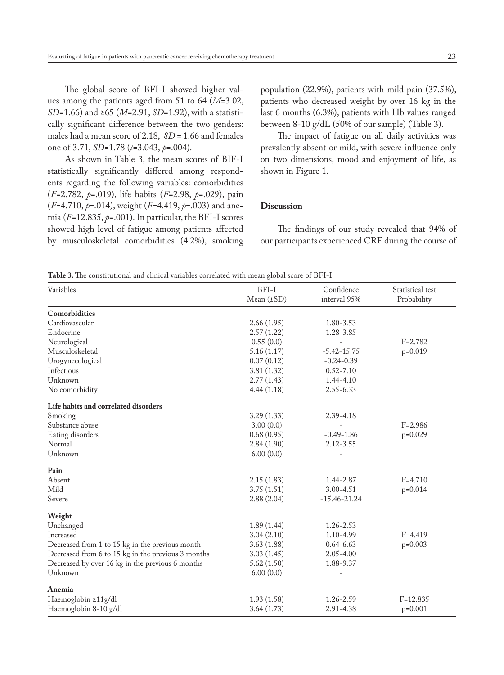The global score of BFI-I showed higher values among the patients aged from 51 to 64 (*M*=3.02, *SD*=1.66) and ≥65 (*M*=2.91, *SD*=1.92), with a statistically significant difference between the two genders: males had a mean score of 2.18, *SD* = 1.66 and females one of 3.71, *SD*=1.78 (*t*=3.043, *p*=.004).

As shown in Table 3, the mean scores of BIF-I statistically significantly differed among respondents regarding the following variables: comorbidities (*F*=2.782, *p*=.019), life habits (*F*=2.98, *p*=.029), pain (*F*=4.710, *p*=.014), weight (*F*=4.419, *p*=.003) and anemia (*F*=12.835, *p*=.001). In particular, the BFI-I scores showed high level of fatigue among patients affected by musculoskeletal comorbidities (4.2%), smoking population (22.9%), patients with mild pain (37.5%), patients who decreased weight by over 16 kg in the last 6 months (6.3%), patients with Hb values ranged between 8-10 g/dL (50% of our sample) (Table 3).

The impact of fatigue on all daily activities was prevalently absent or mild, with severe influence only on two dimensions, mood and enjoyment of life, as shown in Figure 1.

#### **Discussion**

The findings of our study revealed that 94% of our participants experienced CRF during the course of

**Table 3.** The constitutional and clinical variables correlated with mean global score of BFI-I

| Variables                                          | BFI-I           | Confidence       | Statistical test |  |
|----------------------------------------------------|-----------------|------------------|------------------|--|
|                                                    | Mean $(\pm SD)$ | interval 95%     | Probability      |  |
| Comorbidities                                      |                 |                  |                  |  |
| Cardiovascular                                     | 2.66(1.95)      | 1.80-3.53        |                  |  |
| Endocrine                                          | 2.57(1.22)      | 1.28-3.85        |                  |  |
| Neurological                                       | 0.55(0.0)       |                  | $F = 2.782$      |  |
| Musculoskeletal                                    | 5.16(1.17)      | $-5.42 - 15.75$  | $p=0.019$        |  |
| Urogynecological                                   | 0.07(0.12)      | $-0.24 - 0.39$   |                  |  |
| Infectious                                         | 3.81(1.32)      | $0.52 - 7.10$    |                  |  |
| Unknown                                            | 2.77(1.43)      | 1.44-4.10        |                  |  |
| No comorbidity                                     | 4.44(1.18)      | 2.55-6.33        |                  |  |
| Life habits and correlated disorders               |                 |                  |                  |  |
| Smoking                                            | 3.29(1.33)      | 2.39-4.18        |                  |  |
| Substance abuse                                    | 3.00(0.0)       |                  | $F = 2.986$      |  |
| Eating disorders                                   | 0.68(0.95)      | $-0.49 - 1.86$   | $p=0.029$        |  |
| Normal                                             | 2.84(1.90)      | 2.12-3.55        |                  |  |
| Unknown                                            | 6.00(0.0)       |                  |                  |  |
| Pain                                               |                 |                  |                  |  |
| Absent                                             | 2.15(1.83)      | 1.44-2.87        | $F = 4.710$      |  |
| Mild                                               | 3.75(1.51)      | 3.00-4.51        | $p=0.014$        |  |
| Severe                                             | 2.88(2.04)      | $-15.46 - 21.24$ |                  |  |
| Weight                                             |                 |                  |                  |  |
| Unchanged                                          | 1.89(1.44)      | 1.26-2.53        |                  |  |
| Increased                                          | 3.04(2.10)      | 1.10-4.99        | $F = 4.419$      |  |
| Decreased from 1 to 15 kg in the previous month    | 3.63(1.88)      | $0.64 - 6.63$    | $p=0.003$        |  |
| Decreased from 6 to 15 kg in the previous 3 months | 3.03(1.45)      | $2.05 - 4.00$    |                  |  |
| Decreased by over 16 kg in the previous 6 months   | 5.62(1.50)      | 1.88-9.37        |                  |  |
| Unknown                                            | 6.00(0.0)       |                  |                  |  |
| Anemia                                             |                 |                  |                  |  |
| Haemoglobin ≥11g/dl                                | 1.93(1.58)      | 1.26-2.59        | $F=12.835$       |  |
| Haemoglobin 8-10 g/dl                              | 3.64(1.73)      | 2.91-4.38        | $p=0.001$        |  |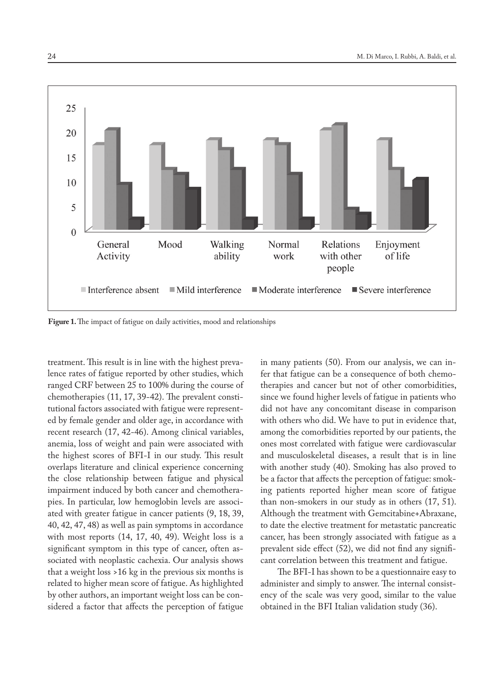

Figure 1. The impact of fatigue on daily activities, mood and relationships

treatment. This result is in line with the highest prevalence rates of fatigue reported by other studies, which ranged CRF between 25 to 100% during the course of chemotherapies (11, 17, 39-42). The prevalent constitutional factors associated with fatigue were represented by female gender and older age, in accordance with recent research (17, 42-46). Among clinical variables, anemia, loss of weight and pain were associated with the highest scores of BFI-I in our study. This result overlaps literature and clinical experience concerning the close relationship between fatigue and physical impairment induced by both cancer and chemotherapies. In particular, low hemoglobin levels are associated with greater fatigue in cancer patients (9, 18, 39, 40, 42, 47, 48) as well as pain symptoms in accordance with most reports (14, 17, 40, 49). Weight loss is a significant symptom in this type of cancer, often associated with neoplastic cachexia. Our analysis shows that a weight loss >16 kg in the previous six months is related to higher mean score of fatigue. As highlighted by other authors, an important weight loss can be considered a factor that affects the perception of fatigue

in many patients (50). From our analysis, we can infer that fatigue can be a consequence of both chemotherapies and cancer but not of other comorbidities, since we found higher levels of fatigue in patients who did not have any concomitant disease in comparison with others who did. We have to put in evidence that, among the comorbidities reported by our patients, the ones most correlated with fatigue were cardiovascular and musculoskeletal diseases, a result that is in line with another study (40). Smoking has also proved to be a factor that affects the perception of fatigue: smoking patients reported higher mean score of fatigue than non-smokers in our study as in others (17, 51). Although the treatment with Gemcitabine+Abraxane, to date the elective treatment for metastatic pancreatic cancer, has been strongly associated with fatigue as a prevalent side effect (52), we did not find any significant correlation between this treatment and fatigue.

The BFI-I has shown to be a questionnaire easy to administer and simply to answer. The internal consistency of the scale was very good, similar to the value obtained in the BFI Italian validation study (36).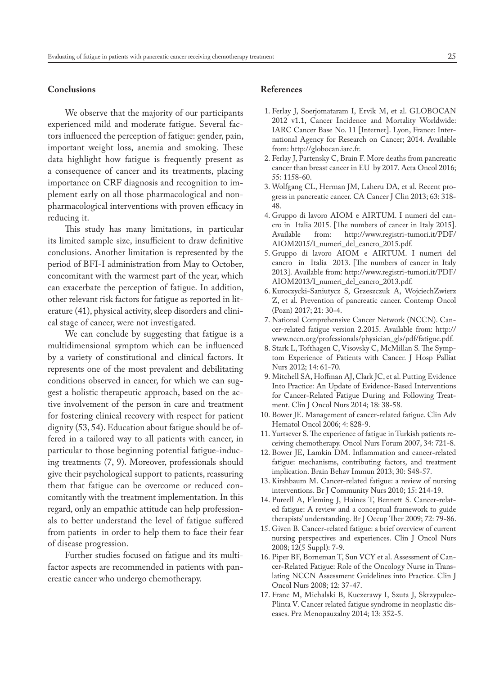#### **Conclusions**

We observe that the majority of our participants experienced mild and moderate fatigue. Several factors influenced the perception of fatigue: gender, pain, important weight loss, anemia and smoking. These data highlight how fatigue is frequently present as a consequence of cancer and its treatments, placing importance on CRF diagnosis and recognition to implement early on all those pharmacological and nonpharmacological interventions with proven efficacy in reducing it.

This study has many limitations, in particular its limited sample size, insufficient to draw definitive conclusions. Another limitation is represented by the period of BFI-I administration from May to October, concomitant with the warmest part of the year, which can exacerbate the perception of fatigue. In addition, other relevant risk factors for fatigue as reported in literature (41), physical activity, sleep disorders and clinical stage of cancer, were not investigated.

We can conclude by suggesting that fatigue is a multidimensional symptom which can be influenced by a variety of constitutional and clinical factors. It represents one of the most prevalent and debilitating conditions observed in cancer, for which we can suggest a holistic therapeutic approach, based on the active involvement of the person in care and treatment for fostering clinical recovery with respect for patient dignity (53, 54). Education about fatigue should be offered in a tailored way to all patients with cancer, in particular to those beginning potential fatigue-inducing treatments (7, 9). Moreover, professionals should give their psychological support to patients, reassuring them that fatigue can be overcome or reduced concomitantly with the treatment implementation. In this regard, only an empathic attitude can help professionals to better understand the level of fatigue suffered from patients in order to help them to face their fear of disease progression.

Further studies focused on fatigue and its multifactor aspects are recommended in patients with pancreatic cancer who undergo chemotherapy.

### **References**

- 1. Ferlay J, Soerjomataram I, Ervik M, et al. GLOBOCAN 2012 v1.1, Cancer Incidence and Mortality Worldwide: IARC Cancer Base No. 11 [Internet]. Lyon, France: International Agency for Research on Cancer; 2014. Available from: http://globocan.iarc.fr.
- 2. Ferlay J, Partensky C, Brain F. More deaths from pancreatic cancer than breast cancer in EU by 2017. Acta Oncol 2016; 55: 1158-60.
- 3. Wolfgang CL, Herman JM, Laheru DA, et al. Recent progress in pancreatic cancer. CA Cancer J Clin 2013; 63: 318- 48.
- 4. Gruppo di lavoro AIOM e AIRTUM. I numeri del cancro in Italia 2015. [The numbers of cancer in Italy 2015]. Available from: http://www.registri-tumori.it/PDF/ AIOM2015/I\_numeri\_del\_cancro\_2015.pdf.
- 5. Gruppo di lavoro AIOM e AIRTUM. I numeri del cancro in Italia 2013. [The numbers of cancer in Italy 2013]. Available from: http://www.registri-tumori.it/PDF/ AIOM2013/I\_numeri\_del\_cancro\_2013.pdf.
- 6. Kuroczycki-Saniutycz S, Grzeszczuk A, WojciechZwierz Z, et al. Prevention of pancreatic cancer. Contemp Oncol (Pozn) 2017; 21: 30-4.
- 7. National Comprehensive Cancer Network (NCCN). Cancer-related fatigue version 2.2015. Available from: http:// www.nccn.org/professionals/physician\_gls/pdf/fatigue.pdf.
- 8. Stark L, Tofthagen C, Visovsky C, McMillan S. The Symptom Experience of Patients with Cancer. J Hosp Palliat Nurs 2012; 14: 61-70.
- 9. Mitchell SA, Hoffman AJ, Clark JC, et al. Putting Evidence Into Practice: An Update of Evidence-Based Interventions for Cancer-Related Fatigue During and Following Treatment. Clin J Oncol Nurs 2014; 18: 38-58.
- 10. Bower JE. Management of cancer-related fatigue. Clin Adv Hematol Oncol 2006; 4: 828-9.
- 11. Yurtsever S. The experience of fatigue in Turkish patients receiving chemotherapy. Oncol Nurs Forum 2007, 34: 721-8.
- 12. Bower JE, Lamkin DM. Inflammation and cancer-related fatigue: mechanisms, contributing factors, and treatment implication. Brain Behav Immun 2013; 30: S48-57.
- 13. Kirshbaum M. Cancer-related fatigue: a review of nursing interventions. Br J Community Nurs 2010; 15: 214-19.
- 14. Pureell A, Fleming J, Haines T, Bennett S. Cancer-related fatigue: A review and a conceptual framework to guide therapists' understanding. Br J Occup Ther 2009; 72: 79-86.
- 15. Given B. Cancer-related fatigue: a brief overview of current nursing perspectives and experiences. Clin J Oncol Nurs 2008; 12(5 Suppl): 7-9.
- 16. Piper BF, Borneman T, Sun VCY et al. Assessment of Cancer-Related Fatigue: Role of the Oncology Nurse in Translating NCCN Assessment Guidelines into Practice. Clin J Oncol Nurs 2008; 12: 37-47.
- 17. Franc M, Michalski B, Kuczerawy I, Szuta J, Skrzypulec-Plinta V. Cancer related fatigue syndrome in neoplastic diseases. Prz Menopauzalny 2014; 13: 352-5.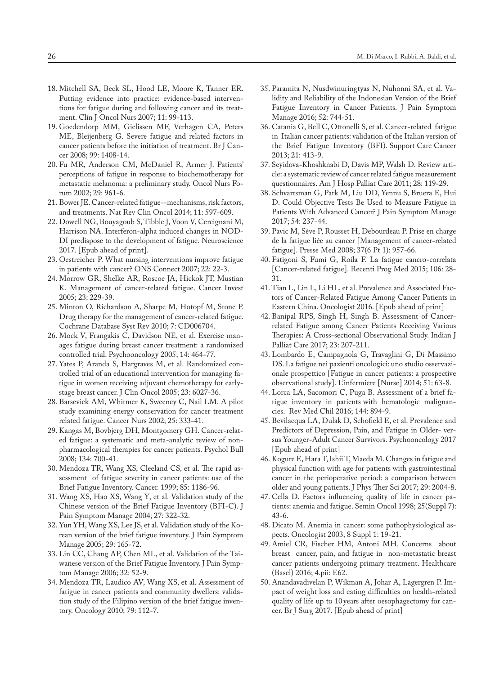- 18. Mitchell SA, Beck SL, Hood LE, Moore K, Tanner ER. Putting evidence into practice: evidence-based interventions for fatigue during and following cancer and its treatment. Clin J Oncol Nurs 2007; 11: 99-113.
- 19. Goedendorp MM, Gielissen MF, Verhagen CA, Peters ME, Bleijenberg G. Severe fatigue and related factors in cancer patients before the initiation of treatment. Br J Cancer 2008; 99: 1408-14.
- 20. Fu MR, Anderson CM, McDaniel R, Armer J. Patients' perceptions of fatigue in response to biochemotherapy for metastatic melanoma: a preliminary study. Oncol Nurs Forum 2002; 29: 961-6.
- 21. Bower JE. Cancer-related fatigue--mechanisms, risk factors, and treatments. Nat Rev Clin Oncol 2014; 11: 597-609.
- 22. Dowell NG, Bouyagoub S, Tibble J, Voon V, Cercignani M, Harrison NA. Interferon-alpha induced changes in NOD-DI predispose to the development of fatigue. Neuroscience 2017. [Epub ahead of print].
- 23. Oestreicher P. What nursing interventions improve fatigue in patients with cancer? ONS Connect 2007; 22: 22-3.
- 24. Morrow GR, Shelke AR, Roscoe JA, Hickok JT, Mustian K. Management of cancer-related fatigue. Cancer Invest 2005; 23: 229-39.
- 25. Minton O, Richardson A, Sharpe M, Hotopf M, Stone P. Drug therapy for the management of cancer-related fatigue. Cochrane Database Syst Rev 2010; 7: CD006704.
- 26. Mock V, Frangakis C, Davidson NE, et al. Exercise manages fatigue during breast cancer treatment: a randomized controlled trial. Psychooncology 2005; 14: 464-77.
- 27. Yates P, Aranda S, Hargraves M, et al. Randomized controlled trial of an educational intervention for managing fatigue in women receiving adjuvant chemotherapy for earlystage breast cancer. J Clin Oncol 2005; 23: 6027-36.
- 28. Barsevick AM, Whitmer K, Sweeney C, Nail LM. A pilot study examining energy conservation for cancer treatment related fatigue. Cancer Nurs 2002; 25: 333-41.
- 29. Kangas M, Bovbjerg DH, Montgomery GH. Cancer-related fatigue: a systematic and meta-analytic review of nonpharmacological therapies for cancer patients. Psychol Bull 2008; 134: 700-41.
- 30. Mendoza TR, Wang XS, Cleeland CS, et al. The rapid assessment of fatigue severity in cancer patients: use of the Brief Fatigue Inventory. Cancer. 1999; 85: 1186-96.
- 31. Wang XS, Hao XS, Wang Y, et al. Validation study of the Chinese version of the Brief Fatigue Inventory (BFI-C). J Pain Symptom Manage 2004; 27: 322-32.
- 32. Yun YH, Wang XS, Lee JS, et al. Validation study of the Korean version of the brief fatigue inventory. J Pain Symptom Manage 2005; 29: 165-72.
- 33. Lin CC, Chang AP, Chen ML, et al. Validation of the Taiwanese version of the Brief Fatigue Inventory. J Pain Symptom Manage 2006; 32: 52-9.
- 34. Mendoza TR, Laudico AV, Wang XS, et al. Assessment of fatigue in cancer patients and community dwellers: validation study of the Filipino version of the brief fatigue inventory. Oncology 2010; 79: 112-7.
- 35. Paramita N, Nusdwinuringtyas N, Nuhonni SA, et al. Validity and Reliability of the Indonesian Version of the Brief Fatigue Inventory in Cancer Patients. J Pain Symptom Manage 2016; 52: 744-51.
- 36. Catania G, Bell C, Ottonelli S, et al. Cancer-related fatigue in Italian cancer patients: validation of the Italian version of the Brief Fatigue Inventory (BFI). Support Care Cancer 2013; 21: 413-9.
- 37. Seyidova-Khoshknabi D, Davis MP, Walsh D. Review article: a systematic review of cancer related fatigue measurement questionnaires. Am J Hosp Palliat Care 2011; 28: 119-29.
- 38. Schvartsman G, Park M, Liu DD, Yennu S, Bruera E, Hui D. Could Objective Tests Be Used to Measure Fatigue in Patients With Advanced Cancer? J Pain Symptom Manage 2017; 54: 237-44.
- 39. Pavic M, Sève P, Rousset H, Debourdeau P. Prise en charge de la fatigue liée au cancer [Management of cancer-related fatigue]. Presse Med 2008; 37(6 Pt 1): 957-66.
- 40. Fatigoni S, Fumi G, Roila F. La fatigue cancro-correlata [Cancer-related fatigue]. Recenti Prog Med 2015; 106: 28- 31.
- 41. Tian L, Lin L, Li HL, et al. Prevalence and Associated Factors of Cancer-Related Fatigue Among Cancer Patients in Eastern China. Oncologist 2016. [Epub ahead of print]
- 42. Banipal RPS, Singh H, Singh B. Assessment of Cancerrelated Fatigue among Cancer Patients Receiving Various Therapies: A Cross-sectional Observational Study. Indian J Palliat Care 2017; 23: 207-211.
- 43. Lombardo E, Campagnola G, Travaglini G, Di Massimo DS. La fatigue nei pazienti oncologici: uno studio osservazionale prospettico [Fatigue in cancer patients: a prospective observational study]. L'infermiere [Nurse] 2014; 51: 63-8.
- 44. Lorca LA, Sacomori C, Puga B. Assessment of a brief fatigue inventory in patients with hematologic malignancies. Rev Med Chil 2016; 144: 894-9.
- 45. Bevilacqua LA, Dulak D, Schofield E, et al. Prevalence and Predictors of Depression, Pain, and Fatigue in Older- versus Younger-Adult Cancer Survivors. Psychooncology 2017 [Epub ahead of print]
- 46. Kogure E, Hara T, Ishii T, Maeda M. Changes in fatigue and physical function with age for patients with gastrointestinal cancer in the perioperative period: a comparison between older and young patients. J Phys Ther Sci 2017; 29: 2004-8.
- 47. Cella D. Factors influencing quality of life in cancer patients: anemia and fatigue. Semin Oncol 1998; 25(Suppl 7): 43-6.
- 48. Dicato M. Anemia in cancer: some pathophysiological aspects. Oncologist 2003; 8 Suppl 1: 19-21.
- 49. Amiel CR, Fischer HM, Antoni MH. Concerns about breast cancer, pain, and fatigue in non-metastatic breast cancer patients undergoing primary treatment. Healthcare (Basel) 2016; 4.pii: E62.
- 50. Anandavadivelan P, Wikman A, Johar A, Lagergren P. Impact of weight loss and eating difficulties on health-related quality of life up to 10years after oesophagectomy for cancer. Br J Surg 2017. [Epub ahead of print]